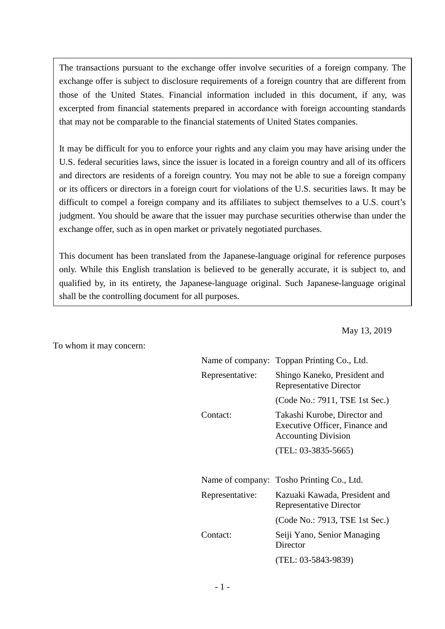The transactions pursuant to the exchange offer involve securities of a foreign company. The exchange offer is subject to disclosure requirements of a foreign country that are different from those of the United States. Financial information included in this document, if any, was excerpted from financial statements prepared in accordance with foreign accounting standards that may not be comparable to the financial statements of United States companies.

It may be difficult for you to enforce your rights and any claim you may have arising under the U.S. federal securities laws, since the issuer is located in a foreign country and all of its officers and directors are residents of a foreign country. You may not be able to sue a foreign company or its officers or directors in a foreign court for violations of the U.S. securities laws. It may be difficult to compel a foreign company and its affiliates to subject themselves to a U.S. court's judgment. You should be aware that the issuer may purchase securities otherwise than under the exchange offer, such as in open market or privately negotiated purchases.

This document has been translated from the Japanese-language original for reference purposes only. While this English translation is believed to be generally accurate, it is subject to, and qualified by, in its entirety, the Japanese-language original. Such Japanese-language original shall be the controlling document for all purposes.

May 13, 2019

To whom it may concern:

|                 | Name of company: Toppan Printing Co., Ltd.                                                   |
|-----------------|----------------------------------------------------------------------------------------------|
| Representative: | Shingo Kaneko, President and<br><b>Representative Director</b>                               |
|                 | (Code No.: 7911, TSE 1st Sec.)                                                               |
| Contact:        | Takashi Kurobe, Director and<br>Executive Officer, Finance and<br><b>Accounting Division</b> |
|                 | $(TEL: 03-3835-5665)$                                                                        |
|                 |                                                                                              |
|                 | Name of company: Tosho Printing Co., Ltd.                                                    |
| Representative: | Kazuaki Kawada, President and<br><b>Representative Director</b>                              |
|                 | (Code No.: 7913, TSE 1st Sec.)                                                               |
| Contact:        | Seiji Yano, Senior Managing<br>Director                                                      |
|                 | (TEL: 03-5843-9839)                                                                          |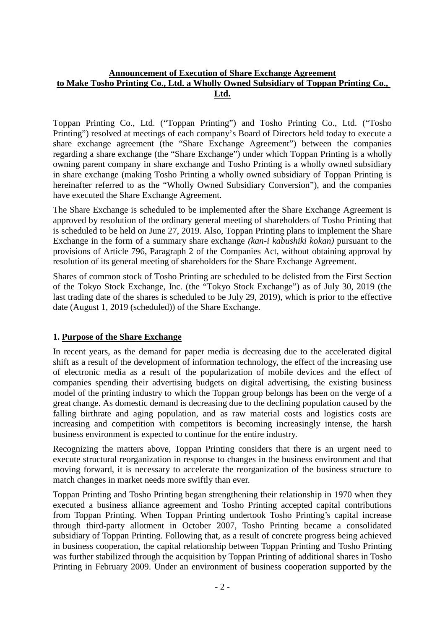#### **Announcement of Execution of Share Exchange Agreement to Make Tosho Printing Co., Ltd. a Wholly Owned Subsidiary of Toppan Printing Co., Ltd.**

Toppan Printing Co., Ltd. ("Toppan Printing") and Tosho Printing Co., Ltd. ("Tosho Printing") resolved at meetings of each company's Board of Directors held today to execute a share exchange agreement (the "Share Exchange Agreement") between the companies regarding a share exchange (the "Share Exchange") under which Toppan Printing is a wholly owning parent company in share exchange and Tosho Printing is a wholly owned subsidiary in share exchange (making Tosho Printing a wholly owned subsidiary of Toppan Printing is hereinafter referred to as the "Wholly Owned Subsidiary Conversion"), and the companies have executed the Share Exchange Agreement.

The Share Exchange is scheduled to be implemented after the Share Exchange Agreement is approved by resolution of the ordinary general meeting of shareholders of Tosho Printing that is scheduled to be held on June 27, 2019. Also, Toppan Printing plans to implement the Share Exchange in the form of a summary share exchange *(kan-i kabushiki kokan)* pursuant to the provisions of Article 796, Paragraph 2 of the Companies Act, without obtaining approval by resolution of its general meeting of shareholders for the Share Exchange Agreement.

Shares of common stock of Tosho Printing are scheduled to be delisted from the First Section of the Tokyo Stock Exchange, Inc. (the "Tokyo Stock Exchange") as of July 30, 2019 (the last trading date of the shares is scheduled to be July 29, 2019), which is prior to the effective date (August 1, 2019 (scheduled)) of the Share Exchange.

#### **1. Purpose of the Share Exchange**

In recent years, as the demand for paper media is decreasing due to the accelerated digital shift as a result of the development of information technology, the effect of the increasing use of electronic media as a result of the popularization of mobile devices and the effect of companies spending their advertising budgets on digital advertising, the existing business model of the printing industry to which the Toppan group belongs has been on the verge of a great change. As domestic demand is decreasing due to the declining population caused by the falling birthrate and aging population, and as raw material costs and logistics costs are increasing and competition with competitors is becoming increasingly intense, the harsh business environment is expected to continue for the entire industry.

Recognizing the matters above, Toppan Printing considers that there is an urgent need to execute structural reorganization in response to changes in the business environment and that moving forward, it is necessary to accelerate the reorganization of the business structure to match changes in market needs more swiftly than ever.

Toppan Printing and Tosho Printing began strengthening their relationship in 1970 when they executed a business alliance agreement and Tosho Printing accepted capital contributions from Toppan Printing. When Toppan Printing undertook Tosho Printing's capital increase through third-party allotment in October 2007, Tosho Printing became a consolidated subsidiary of Toppan Printing. Following that, as a result of concrete progress being achieved in business cooperation, the capital relationship between Toppan Printing and Tosho Printing was further stabilized through the acquisition by Toppan Printing of additional shares in Tosho Printing in February 2009. Under an environment of business cooperation supported by the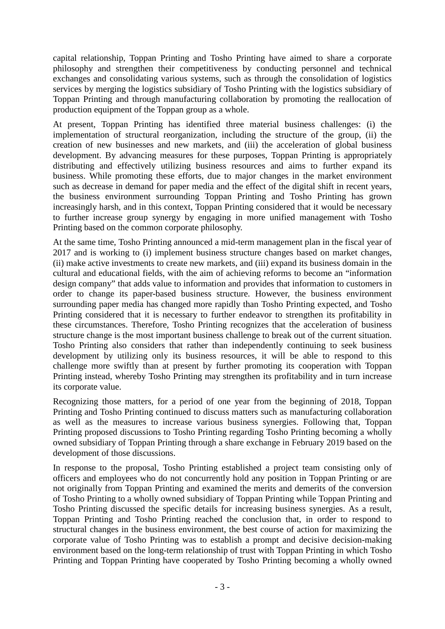capital relationship, Toppan Printing and Tosho Printing have aimed to share a corporate philosophy and strengthen their competitiveness by conducting personnel and technical exchanges and consolidating various systems, such as through the consolidation of logistics services by merging the logistics subsidiary of Tosho Printing with the logistics subsidiary of Toppan Printing and through manufacturing collaboration by promoting the reallocation of production equipment of the Toppan group as a whole.

At present, Toppan Printing has identified three material business challenges: (i) the implementation of structural reorganization, including the structure of the group, (ii) the creation of new businesses and new markets, and (iii) the acceleration of global business development. By advancing measures for these purposes, Toppan Printing is appropriately distributing and effectively utilizing business resources and aims to further expand its business. While promoting these efforts, due to major changes in the market environment such as decrease in demand for paper media and the effect of the digital shift in recent years, the business environment surrounding Toppan Printing and Tosho Printing has grown increasingly harsh, and in this context, Toppan Printing considered that it would be necessary to further increase group synergy by engaging in more unified management with Tosho Printing based on the common corporate philosophy.

At the same time, Tosho Printing announced a mid-term management plan in the fiscal year of 2017 and is working to (i) implement business structure changes based on market changes, (ii) make active investments to create new markets, and (iii) expand its business domain in the cultural and educational fields, with the aim of achieving reforms to become an "information design company" that adds value to information and provides that information to customers in order to change its paper-based business structure. However, the business environment surrounding paper media has changed more rapidly than Tosho Printing expected, and Tosho Printing considered that it is necessary to further endeavor to strengthen its profitability in these circumstances. Therefore, Tosho Printing recognizes that the acceleration of business structure change is the most important business challenge to break out of the current situation. Tosho Printing also considers that rather than independently continuing to seek business development by utilizing only its business resources, it will be able to respond to this challenge more swiftly than at present by further promoting its cooperation with Toppan Printing instead, whereby Tosho Printing may strengthen its profitability and in turn increase its corporate value.

Recognizing those matters, for a period of one year from the beginning of 2018, Toppan Printing and Tosho Printing continued to discuss matters such as manufacturing collaboration as well as the measures to increase various business synergies. Following that, Toppan Printing proposed discussions to Tosho Printing regarding Tosho Printing becoming a wholly owned subsidiary of Toppan Printing through a share exchange in February 2019 based on the development of those discussions.

In response to the proposal, Tosho Printing established a project team consisting only of officers and employees who do not concurrently hold any position in Toppan Printing or are not originally from Toppan Printing and examined the merits and demerits of the conversion of Tosho Printing to a wholly owned subsidiary of Toppan Printing while Toppan Printing and Tosho Printing discussed the specific details for increasing business synergies. As a result, Toppan Printing and Tosho Printing reached the conclusion that, in order to respond to structural changes in the business environment, the best course of action for maximizing the corporate value of Tosho Printing was to establish a prompt and decisive decision-making environment based on the long-term relationship of trust with Toppan Printing in which Tosho Printing and Toppan Printing have cooperated by Tosho Printing becoming a wholly owned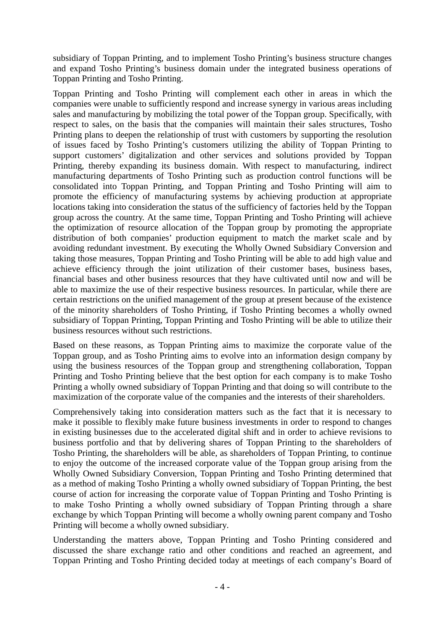subsidiary of Toppan Printing, and to implement Tosho Printing's business structure changes and expand Tosho Printing's business domain under the integrated business operations of Toppan Printing and Tosho Printing.

Toppan Printing and Tosho Printing will complement each other in areas in which the companies were unable to sufficiently respond and increase synergy in various areas including sales and manufacturing by mobilizing the total power of the Toppan group. Specifically, with respect to sales, on the basis that the companies will maintain their sales structures, Tosho Printing plans to deepen the relationship of trust with customers by supporting the resolution of issues faced by Tosho Printing's customers utilizing the ability of Toppan Printing to support customers' digitalization and other services and solutions provided by Toppan Printing, thereby expanding its business domain. With respect to manufacturing, indirect manufacturing departments of Tosho Printing such as production control functions will be consolidated into Toppan Printing, and Toppan Printing and Tosho Printing will aim to promote the efficiency of manufacturing systems by achieving production at appropriate locations taking into consideration the status of the sufficiency of factories held by the Toppan group across the country. At the same time, Toppan Printing and Tosho Printing will achieve the optimization of resource allocation of the Toppan group by promoting the appropriate distribution of both companies' production equipment to match the market scale and by avoiding redundant investment. By executing the Wholly Owned Subsidiary Conversion and taking those measures, Toppan Printing and Tosho Printing will be able to add high value and achieve efficiency through the joint utilization of their customer bases, business bases, financial bases and other business resources that they have cultivated until now and will be able to maximize the use of their respective business resources. In particular, while there are certain restrictions on the unified management of the group at present because of the existence of the minority shareholders of Tosho Printing, if Tosho Printing becomes a wholly owned subsidiary of Toppan Printing, Toppan Printing and Tosho Printing will be able to utilize their business resources without such restrictions.

Based on these reasons, as Toppan Printing aims to maximize the corporate value of the Toppan group, and as Tosho Printing aims to evolve into an information design company by using the business resources of the Toppan group and strengthening collaboration, Toppan Printing and Tosho Printing believe that the best option for each company is to make Tosho Printing a wholly owned subsidiary of Toppan Printing and that doing so will contribute to the maximization of the corporate value of the companies and the interests of their shareholders.

Comprehensively taking into consideration matters such as the fact that it is necessary to make it possible to flexibly make future business investments in order to respond to changes in existing businesses due to the accelerated digital shift and in order to achieve revisions to business portfolio and that by delivering shares of Toppan Printing to the shareholders of Tosho Printing, the shareholders will be able, as shareholders of Toppan Printing, to continue to enjoy the outcome of the increased corporate value of the Toppan group arising from the Wholly Owned Subsidiary Conversion, Toppan Printing and Tosho Printing determined that as a method of making Tosho Printing a wholly owned subsidiary of Toppan Printing, the best course of action for increasing the corporate value of Toppan Printing and Tosho Printing is to make Tosho Printing a wholly owned subsidiary of Toppan Printing through a share exchange by which Toppan Printing will become a wholly owning parent company and Tosho Printing will become a wholly owned subsidiary.

Understanding the matters above, Toppan Printing and Tosho Printing considered and discussed the share exchange ratio and other conditions and reached an agreement, and Toppan Printing and Tosho Printing decided today at meetings of each company's Board of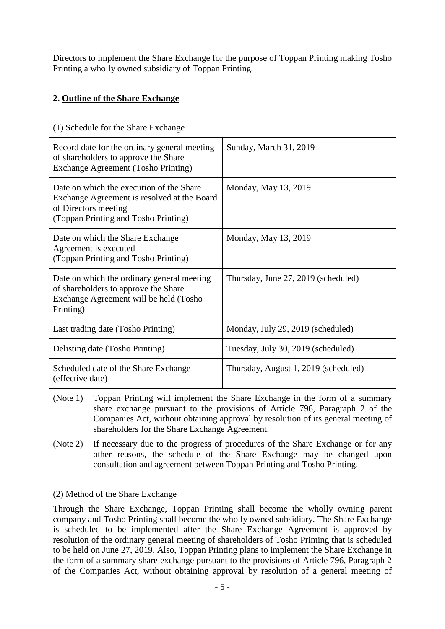Directors to implement the Share Exchange for the purpose of Toppan Printing making Tosho Printing a wholly owned subsidiary of Toppan Printing.

# **2. Outline of the Share Exchange**

| Record date for the ordinary general meeting<br>of shareholders to approve the Share<br><b>Exchange Agreement (Tosho Printing)</b>                      | Sunday, March 31, 2019               |
|---------------------------------------------------------------------------------------------------------------------------------------------------------|--------------------------------------|
| Date on which the execution of the Share<br>Exchange Agreement is resolved at the Board<br>of Directors meeting<br>(Toppan Printing and Tosho Printing) | Monday, May 13, 2019                 |
| Date on which the Share Exchange<br>Agreement is executed<br>(Toppan Printing and Tosho Printing)                                                       | Monday, May 13, 2019                 |
| Date on which the ordinary general meeting<br>of shareholders to approve the Share<br>Exchange Agreement will be held (Tosho<br>Printing)               | Thursday, June 27, 2019 (scheduled)  |
| Last trading date (Tosho Printing)                                                                                                                      | Monday, July 29, 2019 (scheduled)    |
| Delisting date (Tosho Printing)                                                                                                                         | Tuesday, July 30, 2019 (scheduled)   |
| Scheduled date of the Share Exchange<br>(effective date)                                                                                                | Thursday, August 1, 2019 (scheduled) |

(1) Schedule for the Share Exchange

- (Note 1) Toppan Printing will implement the Share Exchange in the form of a summary share exchange pursuant to the provisions of Article 796, Paragraph 2 of the Companies Act, without obtaining approval by resolution of its general meeting of shareholders for the Share Exchange Agreement.
- (Note 2) If necessary due to the progress of procedures of the Share Exchange or for any other reasons, the schedule of the Share Exchange may be changed upon consultation and agreement between Toppan Printing and Tosho Printing.

#### (2) Method of the Share Exchange

Through the Share Exchange, Toppan Printing shall become the wholly owning parent company and Tosho Printing shall become the wholly owned subsidiary. The Share Exchange is scheduled to be implemented after the Share Exchange Agreement is approved by resolution of the ordinary general meeting of shareholders of Tosho Printing that is scheduled to be held on June 27, 2019. Also, Toppan Printing plans to implement the Share Exchange in the form of a summary share exchange pursuant to the provisions of Article 796, Paragraph 2 of the Companies Act, without obtaining approval by resolution of a general meeting of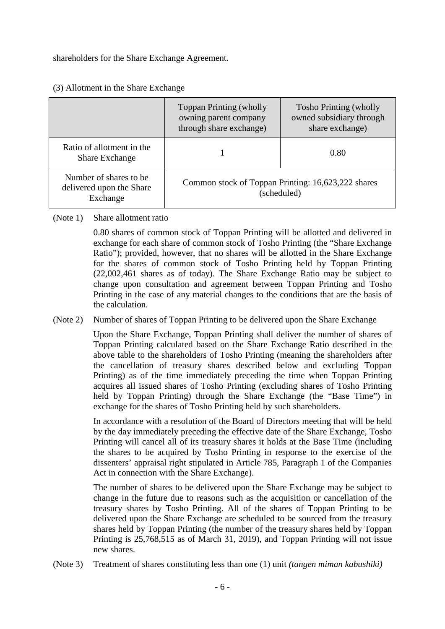shareholders for the Share Exchange Agreement.

|                                                                 | <b>Toppan Printing (wholly</b><br>owning parent company<br>through share exchange) | <b>Tosho Printing (wholly</b><br>owned subsidiary through<br>share exchange) |
|-----------------------------------------------------------------|------------------------------------------------------------------------------------|------------------------------------------------------------------------------|
| Ratio of allotment in the<br><b>Share Exchange</b>              |                                                                                    | 0.80                                                                         |
| Number of shares to be.<br>delivered upon the Share<br>Exchange |                                                                                    | Common stock of Toppan Printing: 16,623,222 shares<br>(scheduled)            |

#### (3) Allotment in the Share Exchange

#### (Note 1) Share allotment ratio

0.80 shares of common stock of Toppan Printing will be allotted and delivered in exchange for each share of common stock of Tosho Printing (the "Share Exchange Ratio"); provided, however, that no shares will be allotted in the Share Exchange for the shares of common stock of Tosho Printing held by Toppan Printing (22,002,461 shares as of today). The Share Exchange Ratio may be subject to change upon consultation and agreement between Toppan Printing and Tosho Printing in the case of any material changes to the conditions that are the basis of the calculation.

#### (Note 2) Number of shares of Toppan Printing to be delivered upon the Share Exchange

Upon the Share Exchange, Toppan Printing shall deliver the number of shares of Toppan Printing calculated based on the Share Exchange Ratio described in the above table to the shareholders of Tosho Printing (meaning the shareholders after the cancellation of treasury shares described below and excluding Toppan Printing) as of the time immediately preceding the time when Toppan Printing acquires all issued shares of Tosho Printing (excluding shares of Tosho Printing held by Toppan Printing) through the Share Exchange (the "Base Time") in exchange for the shares of Tosho Printing held by such shareholders.

In accordance with a resolution of the Board of Directors meeting that will be held by the day immediately preceding the effective date of the Share Exchange, Tosho Printing will cancel all of its treasury shares it holds at the Base Time (including the shares to be acquired by Tosho Printing in response to the exercise of the dissenters' appraisal right stipulated in Article 785, Paragraph 1 of the Companies Act in connection with the Share Exchange).

The number of shares to be delivered upon the Share Exchange may be subject to change in the future due to reasons such as the acquisition or cancellation of the treasury shares by Tosho Printing. All of the shares of Toppan Printing to be delivered upon the Share Exchange are scheduled to be sourced from the treasury shares held by Toppan Printing (the number of the treasury shares held by Toppan Printing is 25,768,515 as of March 31, 2019), and Toppan Printing will not issue new shares.

(Note 3) Treatment of shares constituting less than one (1) unit *(tangen miman kabushiki)*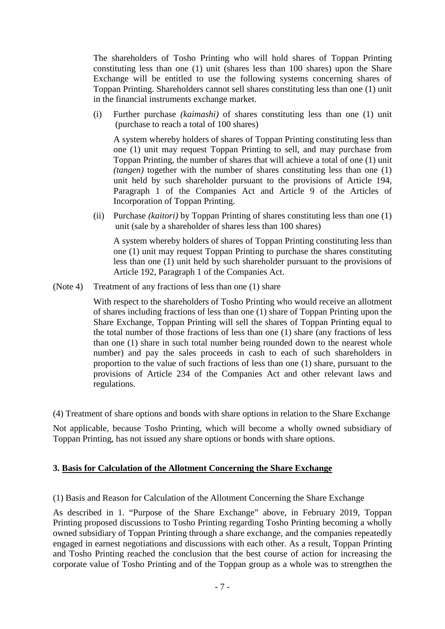The shareholders of Tosho Printing who will hold shares of Toppan Printing constituting less than one (1) unit (shares less than 100 shares) upon the Share Exchange will be entitled to use the following systems concerning shares of Toppan Printing. Shareholders cannot sell shares constituting less than one (1) unit in the financial instruments exchange market.

(i) Further purchase *(kaimashi)* of shares constituting less than one (1) unit (purchase to reach a total of 100 shares)

A system whereby holders of shares of Toppan Printing constituting less than one (1) unit may request Toppan Printing to sell, and may purchase from Toppan Printing, the number of shares that will achieve a total of one (1) unit *(tangen)* together with the number of shares constituting less than one (1) unit held by such shareholder pursuant to the provisions of Article 194, Paragraph 1 of the Companies Act and Article 9 of the Articles of Incorporation of Toppan Printing.

(ii) Purchase *(kaitori)* by Toppan Printing of shares constituting less than one (1) unit (sale by a shareholder of shares less than 100 shares)

A system whereby holders of shares of Toppan Printing constituting less than one (1) unit may request Toppan Printing to purchase the shares constituting less than one (1) unit held by such shareholder pursuant to the provisions of Article 192, Paragraph 1 of the Companies Act.

(Note 4) Treatment of any fractions of less than one (1) share

With respect to the shareholders of Tosho Printing who would receive an allotment of shares including fractions of less than one (1) share of Toppan Printing upon the Share Exchange, Toppan Printing will sell the shares of Toppan Printing equal to the total number of those fractions of less than one (1) share (any fractions of less than one (1) share in such total number being rounded down to the nearest whole number) and pay the sales proceeds in cash to each of such shareholders in proportion to the value of such fractions of less than one (1) share, pursuant to the provisions of Article 234 of the Companies Act and other relevant laws and regulations.

(4) Treatment of share options and bonds with share options in relation to the Share Exchange

Not applicable, because Tosho Printing, which will become a wholly owned subsidiary of Toppan Printing, has not issued any share options or bonds with share options.

#### **3. Basis for Calculation of the Allotment Concerning the Share Exchange**

(1) Basis and Reason for Calculation of the Allotment Concerning the Share Exchange

As described in 1. "Purpose of the Share Exchange" above, in February 2019, Toppan Printing proposed discussions to Tosho Printing regarding Tosho Printing becoming a wholly owned subsidiary of Toppan Printing through a share exchange, and the companies repeatedly engaged in earnest negotiations and discussions with each other. As a result, Toppan Printing and Tosho Printing reached the conclusion that the best course of action for increasing the corporate value of Tosho Printing and of the Toppan group as a whole was to strengthen the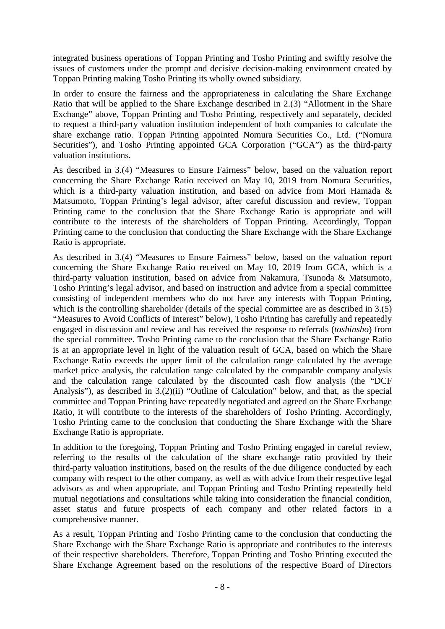integrated business operations of Toppan Printing and Tosho Printing and swiftly resolve the issues of customers under the prompt and decisive decision-making environment created by Toppan Printing making Tosho Printing its wholly owned subsidiary.

In order to ensure the fairness and the appropriateness in calculating the Share Exchange Ratio that will be applied to the Share Exchange described in 2.(3) "Allotment in the Share Exchange" above, Toppan Printing and Tosho Printing, respectively and separately, decided to request a third-party valuation institution independent of both companies to calculate the share exchange ratio. Toppan Printing appointed Nomura Securities Co., Ltd. ("Nomura Securities"), and Tosho Printing appointed GCA Corporation ("GCA") as the third-party valuation institutions.

As described in 3.(4) "Measures to Ensure Fairness" below, based on the valuation report concerning the Share Exchange Ratio received on May 10, 2019 from Nomura Securities, which is a third-party valuation institution, and based on advice from Mori Hamada & Matsumoto, Toppan Printing's legal advisor, after careful discussion and review, Toppan Printing came to the conclusion that the Share Exchange Ratio is appropriate and will contribute to the interests of the shareholders of Toppan Printing. Accordingly, Toppan Printing came to the conclusion that conducting the Share Exchange with the Share Exchange Ratio is appropriate.

As described in 3.(4) "Measures to Ensure Fairness" below, based on the valuation report concerning the Share Exchange Ratio received on May 10, 2019 from GCA, which is a third-party valuation institution, based on advice from Nakamura, Tsunoda & Matsumoto, Tosho Printing's legal advisor, and based on instruction and advice from a special committee consisting of independent members who do not have any interests with Toppan Printing, which is the controlling shareholder (details of the special committee are as described in 3.(5) "Measures to Avoid Conflicts of Interest" below), Tosho Printing has carefully and repeatedly engaged in discussion and review and has received the response to referrals (*toshinsho*) from the special committee. Tosho Printing came to the conclusion that the Share Exchange Ratio is at an appropriate level in light of the valuation result of GCA, based on which the Share Exchange Ratio exceeds the upper limit of the calculation range calculated by the average market price analysis, the calculation range calculated by the comparable company analysis and the calculation range calculated by the discounted cash flow analysis (the "DCF Analysis"), as described in 3.(2)(ii) "Outline of Calculation" below, and that, as the special committee and Toppan Printing have repeatedly negotiated and agreed on the Share Exchange Ratio, it will contribute to the interests of the shareholders of Tosho Printing. Accordingly, Tosho Printing came to the conclusion that conducting the Share Exchange with the Share Exchange Ratio is appropriate.

In addition to the foregoing, Toppan Printing and Tosho Printing engaged in careful review, referring to the results of the calculation of the share exchange ratio provided by their third-party valuation institutions, based on the results of the due diligence conducted by each company with respect to the other company, as well as with advice from their respective legal advisors as and when appropriate, and Toppan Printing and Tosho Printing repeatedly held mutual negotiations and consultations while taking into consideration the financial condition, asset status and future prospects of each company and other related factors in a comprehensive manner.

As a result, Toppan Printing and Tosho Printing came to the conclusion that conducting the Share Exchange with the Share Exchange Ratio is appropriate and contributes to the interests of their respective shareholders. Therefore, Toppan Printing and Tosho Printing executed the Share Exchange Agreement based on the resolutions of the respective Board of Directors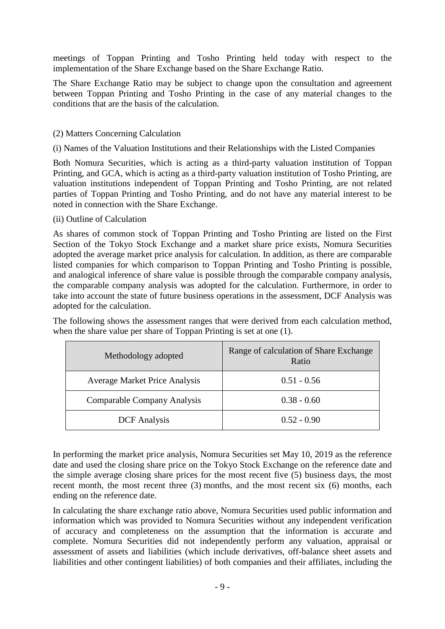meetings of Toppan Printing and Tosho Printing held today with respect to the implementation of the Share Exchange based on the Share Exchange Ratio.

The Share Exchange Ratio may be subject to change upon the consultation and agreement between Toppan Printing and Tosho Printing in the case of any material changes to the conditions that are the basis of the calculation.

#### (2) Matters Concerning Calculation

(i) Names of the Valuation Institutions and their Relationships with the Listed Companies

Both Nomura Securities, which is acting as a third-party valuation institution of Toppan Printing, and GCA, which is acting as a third-party valuation institution of Tosho Printing, are valuation institutions independent of Toppan Printing and Tosho Printing, are not related parties of Toppan Printing and Tosho Printing, and do not have any material interest to be noted in connection with the Share Exchange.

#### (ii) Outline of Calculation

As shares of common stock of Toppan Printing and Tosho Printing are listed on the First Section of the Tokyo Stock Exchange and a market share price exists, Nomura Securities adopted the average market price analysis for calculation. In addition, as there are comparable listed companies for which comparison to Toppan Printing and Tosho Printing is possible, and analogical inference of share value is possible through the comparable company analysis, the comparable company analysis was adopted for the calculation. Furthermore, in order to take into account the state of future business operations in the assessment, DCF Analysis was adopted for the calculation.

The following shows the assessment ranges that were derived from each calculation method, when the share value per share of Toppan Printing is set at one (1).

| Methodology adopted                  | Range of calculation of Share Exchange<br>Ratio |
|--------------------------------------|-------------------------------------------------|
| <b>Average Market Price Analysis</b> | $0.51 - 0.56$                                   |
| Comparable Company Analysis          | $0.38 - 0.60$                                   |
| <b>DCF</b> Analysis                  | $0.52 - 0.90$                                   |

In performing the market price analysis, Nomura Securities set May 10, 2019 as the reference date and used the closing share price on the Tokyo Stock Exchange on the reference date and the simple average closing share prices for the most recent five (5) business days, the most recent month, the most recent three (3) months, and the most recent six (6) months, each ending on the reference date.

In calculating the share exchange ratio above, Nomura Securities used public information and information which was provided to Nomura Securities without any independent verification of accuracy and completeness on the assumption that the information is accurate and complete. Nomura Securities did not independently perform any valuation, appraisal or assessment of assets and liabilities (which include derivatives, off-balance sheet assets and liabilities and other contingent liabilities) of both companies and their affiliates, including the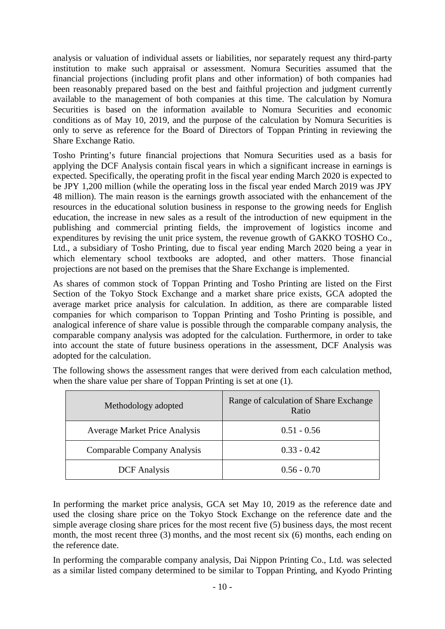analysis or valuation of individual assets or liabilities, nor separately request any third-party institution to make such appraisal or assessment. Nomura Securities assumed that the financial projections (including profit plans and other information) of both companies had been reasonably prepared based on the best and faithful projection and judgment currently available to the management of both companies at this time. The calculation by Nomura Securities is based on the information available to Nomura Securities and economic conditions as of May 10, 2019, and the purpose of the calculation by Nomura Securities is only to serve as reference for the Board of Directors of Toppan Printing in reviewing the Share Exchange Ratio.

Tosho Printing's future financial projections that Nomura Securities used as a basis for applying the DCF Analysis contain fiscal years in which a significant increase in earnings is expected. Specifically, the operating profit in the fiscal year ending March 2020 is expected to be JPY 1,200 million (while the operating loss in the fiscal year ended March 2019 was JPY 48 million). The main reason is the earnings growth associated with the enhancement of the resources in the educational solution business in response to the growing needs for English education, the increase in new sales as a result of the introduction of new equipment in the publishing and commercial printing fields, the improvement of logistics income and expenditures by revising the unit price system, the revenue growth of GAKKO TOSHO Co., Ltd., a subsidiary of Tosho Printing, due to fiscal year ending March 2020 being a year in which elementary school textbooks are adopted, and other matters. Those financial projections are not based on the premises that the Share Exchange is implemented.

As shares of common stock of Toppan Printing and Tosho Printing are listed on the First Section of the Tokyo Stock Exchange and a market share price exists, GCA adopted the average market price analysis for calculation. In addition, as there are comparable listed companies for which comparison to Toppan Printing and Tosho Printing is possible, and analogical inference of share value is possible through the comparable company analysis, the comparable company analysis was adopted for the calculation. Furthermore, in order to take into account the state of future business operations in the assessment, DCF Analysis was adopted for the calculation.

| Methodology adopted                  | Range of calculation of Share Exchange<br>Ratio |
|--------------------------------------|-------------------------------------------------|
| <b>Average Market Price Analysis</b> | $0.51 - 0.56$                                   |
| Comparable Company Analysis          | $0.33 - 0.42$                                   |
| <b>DCF</b> Analysis                  | $0.56 - 0.70$                                   |

The following shows the assessment ranges that were derived from each calculation method, when the share value per share of Toppan Printing is set at one (1).

In performing the market price analysis, GCA set May 10, 2019 as the reference date and used the closing share price on the Tokyo Stock Exchange on the reference date and the simple average closing share prices for the most recent five (5) business days, the most recent month, the most recent three (3) months, and the most recent six (6) months, each ending on the reference date.

In performing the comparable company analysis, Dai Nippon Printing Co., Ltd. was selected as a similar listed company determined to be similar to Toppan Printing, and Kyodo Printing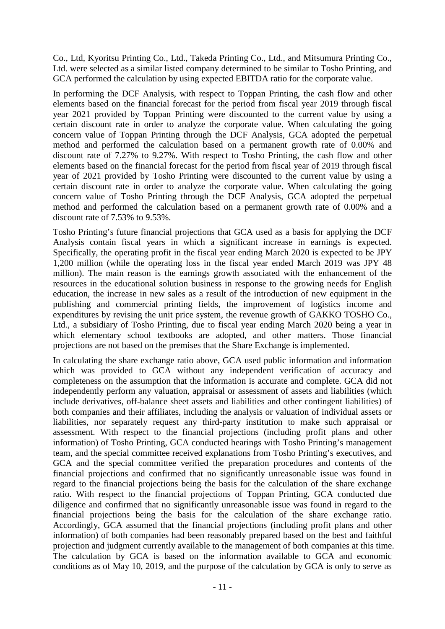Co., Ltd, Kyoritsu Printing Co., Ltd., Takeda Printing Co., Ltd., and Mitsumura Printing Co., Ltd. were selected as a similar listed company determined to be similar to Tosho Printing, and GCA performed the calculation by using expected EBITDA ratio for the corporate value.

In performing the DCF Analysis, with respect to Toppan Printing, the cash flow and other elements based on the financial forecast for the period from fiscal year 2019 through fiscal year 2021 provided by Toppan Printing were discounted to the current value by using a certain discount rate in order to analyze the corporate value. When calculating the going concern value of Toppan Printing through the DCF Analysis, GCA adopted the perpetual method and performed the calculation based on a permanent growth rate of 0.00% and discount rate of 7.27% to 9.27%. With respect to Tosho Printing, the cash flow and other elements based on the financial forecast for the period from fiscal year of 2019 through fiscal year of 2021 provided by Tosho Printing were discounted to the current value by using a certain discount rate in order to analyze the corporate value. When calculating the going concern value of Tosho Printing through the DCF Analysis, GCA adopted the perpetual method and performed the calculation based on a permanent growth rate of 0.00% and a discount rate of 7.53% to 9.53%.

Tosho Printing's future financial projections that GCA used as a basis for applying the DCF Analysis contain fiscal years in which a significant increase in earnings is expected. Specifically, the operating profit in the fiscal year ending March 2020 is expected to be JPY 1,200 million (while the operating loss in the fiscal year ended March 2019 was JPY 48 million). The main reason is the earnings growth associated with the enhancement of the resources in the educational solution business in response to the growing needs for English education, the increase in new sales as a result of the introduction of new equipment in the publishing and commercial printing fields, the improvement of logistics income and expenditures by revising the unit price system, the revenue growth of GAKKO TOSHO Co., Ltd., a subsidiary of Tosho Printing, due to fiscal year ending March 2020 being a year in which elementary school textbooks are adopted, and other matters. Those financial projections are not based on the premises that the Share Exchange is implemented.

In calculating the share exchange ratio above, GCA used public information and information which was provided to GCA without any independent verification of accuracy and completeness on the assumption that the information is accurate and complete. GCA did not independently perform any valuation, appraisal or assessment of assets and liabilities (which include derivatives, off-balance sheet assets and liabilities and other contingent liabilities) of both companies and their affiliates, including the analysis or valuation of individual assets or liabilities, nor separately request any third-party institution to make such appraisal or assessment. With respect to the financial projections (including profit plans and other information) of Tosho Printing, GCA conducted hearings with Tosho Printing's management team, and the special committee received explanations from Tosho Printing's executives, and GCA and the special committee verified the preparation procedures and contents of the financial projections and confirmed that no significantly unreasonable issue was found in regard to the financial projections being the basis for the calculation of the share exchange ratio. With respect to the financial projections of Toppan Printing, GCA conducted due diligence and confirmed that no significantly unreasonable issue was found in regard to the financial projections being the basis for the calculation of the share exchange ratio. Accordingly, GCA assumed that the financial projections (including profit plans and other information) of both companies had been reasonably prepared based on the best and faithful projection and judgment currently available to the management of both companies at this time. The calculation by GCA is based on the information available to GCA and economic conditions as of May 10, 2019, and the purpose of the calculation by GCA is only to serve as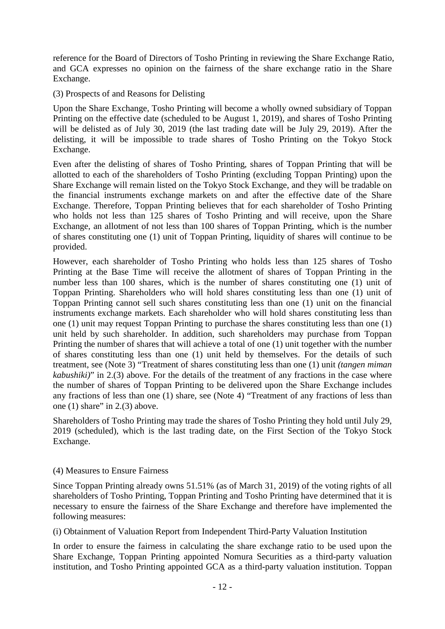reference for the Board of Directors of Tosho Printing in reviewing the Share Exchange Ratio, and GCA expresses no opinion on the fairness of the share exchange ratio in the Share Exchange.

(3) Prospects of and Reasons for Delisting

Upon the Share Exchange, Tosho Printing will become a wholly owned subsidiary of Toppan Printing on the effective date (scheduled to be August 1, 2019), and shares of Tosho Printing will be delisted as of July 30, 2019 (the last trading date will be July 29, 2019). After the delisting, it will be impossible to trade shares of Tosho Printing on the Tokyo Stock Exchange.

Even after the delisting of shares of Tosho Printing, shares of Toppan Printing that will be allotted to each of the shareholders of Tosho Printing (excluding Toppan Printing) upon the Share Exchange will remain listed on the Tokyo Stock Exchange, and they will be tradable on the financial instruments exchange markets on and after the effective date of the Share Exchange. Therefore, Toppan Printing believes that for each shareholder of Tosho Printing who holds not less than 125 shares of Tosho Printing and will receive, upon the Share Exchange, an allotment of not less than 100 shares of Toppan Printing, which is the number of shares constituting one (1) unit of Toppan Printing, liquidity of shares will continue to be provided.

However, each shareholder of Tosho Printing who holds less than 125 shares of Tosho Printing at the Base Time will receive the allotment of shares of Toppan Printing in the number less than 100 shares, which is the number of shares constituting one (1) unit of Toppan Printing. Shareholders who will hold shares constituting less than one (1) unit of Toppan Printing cannot sell such shares constituting less than one (1) unit on the financial instruments exchange markets. Each shareholder who will hold shares constituting less than one (1) unit may request Toppan Printing to purchase the shares constituting less than one (1) unit held by such shareholder. In addition, such shareholders may purchase from Toppan Printing the number of shares that will achieve a total of one (1) unit together with the number of shares constituting less than one (1) unit held by themselves. For the details of such treatment, see (Note 3) "Treatment of shares constituting less than one (1) unit *(tangen miman kabushiki)*" in 2.(3) above. For the details of the treatment of any fractions in the case where the number of shares of Toppan Printing to be delivered upon the Share Exchange includes any fractions of less than one (1) share, see (Note 4) "Treatment of any fractions of less than one  $(1)$  share" in 2. $(3)$  above.

Shareholders of Tosho Printing may trade the shares of Tosho Printing they hold until July 29, 2019 (scheduled), which is the last trading date, on the First Section of the Tokyo Stock Exchange.

#### (4) Measures to Ensure Fairness

Since Toppan Printing already owns 51.51% (as of March 31, 2019) of the voting rights of all shareholders of Tosho Printing, Toppan Printing and Tosho Printing have determined that it is necessary to ensure the fairness of the Share Exchange and therefore have implemented the following measures:

(i) Obtainment of Valuation Report from Independent Third-Party Valuation Institution

In order to ensure the fairness in calculating the share exchange ratio to be used upon the Share Exchange, Toppan Printing appointed Nomura Securities as a third-party valuation institution, and Tosho Printing appointed GCA as a third-party valuation institution. Toppan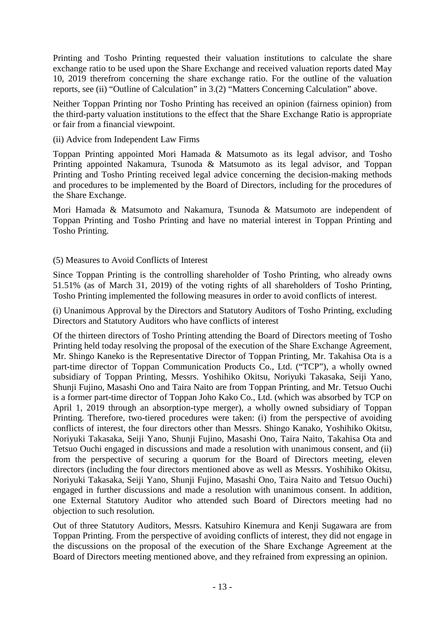Printing and Tosho Printing requested their valuation institutions to calculate the share exchange ratio to be used upon the Share Exchange and received valuation reports dated May 10, 2019 therefrom concerning the share exchange ratio. For the outline of the valuation reports, see (ii) "Outline of Calculation" in 3.(2) "Matters Concerning Calculation" above.

Neither Toppan Printing nor Tosho Printing has received an opinion (fairness opinion) from the third-party valuation institutions to the effect that the Share Exchange Ratio is appropriate or fair from a financial viewpoint.

#### (ii) Advice from Independent Law Firms

Toppan Printing appointed Mori Hamada & Matsumoto as its legal advisor, and Tosho Printing appointed Nakamura, Tsunoda & Matsumoto as its legal advisor, and Toppan Printing and Tosho Printing received legal advice concerning the decision-making methods and procedures to be implemented by the Board of Directors, including for the procedures of the Share Exchange.

Mori Hamada & Matsumoto and Nakamura, Tsunoda & Matsumoto are independent of Toppan Printing and Tosho Printing and have no material interest in Toppan Printing and Tosho Printing.

#### (5) Measures to Avoid Conflicts of Interest

Since Toppan Printing is the controlling shareholder of Tosho Printing, who already owns 51.51% (as of March 31, 2019) of the voting rights of all shareholders of Tosho Printing, Tosho Printing implemented the following measures in order to avoid conflicts of interest.

(i) Unanimous Approval by the Directors and Statutory Auditors of Tosho Printing, excluding Directors and Statutory Auditors who have conflicts of interest

Of the thirteen directors of Tosho Printing attending the Board of Directors meeting of Tosho Printing held today resolving the proposal of the execution of the Share Exchange Agreement, Mr. Shingo Kaneko is the Representative Director of Toppan Printing, Mr. Takahisa Ota is a part-time director of Toppan Communication Products Co., Ltd. ("TCP"), a wholly owned subsidiary of Toppan Printing, Messrs. Yoshihiko Okitsu, Noriyuki Takasaka, Seiji Yano, Shunji Fujino, Masashi Ono and Taira Naito are from Toppan Printing, and Mr. Tetsuo Ouchi is a former part-time director of Toppan Joho Kako Co., Ltd. (which was absorbed by TCP on April 1, 2019 through an absorption-type merger), a wholly owned subsidiary of Toppan Printing. Therefore, two-tiered procedures were taken: (i) from the perspective of avoiding conflicts of interest, the four directors other than Messrs. Shingo Kanako, Yoshihiko Okitsu, Noriyuki Takasaka, Seiji Yano, Shunji Fujino, Masashi Ono, Taira Naito, Takahisa Ota and Tetsuo Ouchi engaged in discussions and made a resolution with unanimous consent, and (ii) from the perspective of securing a quorum for the Board of Directors meeting, eleven directors (including the four directors mentioned above as well as Messrs. Yoshihiko Okitsu, Noriyuki Takasaka, Seiji Yano, Shunji Fujino, Masashi Ono, Taira Naito and Tetsuo Ouchi) engaged in further discussions and made a resolution with unanimous consent. In addition, one External Statutory Auditor who attended such Board of Directors meeting had no objection to such resolution.

Out of three Statutory Auditors, Messrs. Katsuhiro Kinemura and Kenji Sugawara are from Toppan Printing. From the perspective of avoiding conflicts of interest, they did not engage in the discussions on the proposal of the execution of the Share Exchange Agreement at the Board of Directors meeting mentioned above, and they refrained from expressing an opinion.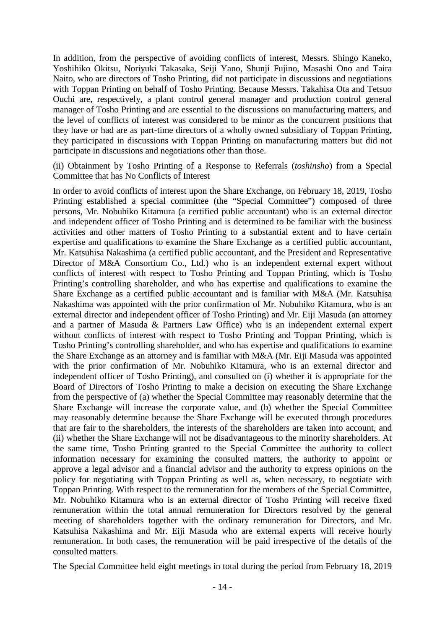In addition, from the perspective of avoiding conflicts of interest, Messrs. Shingo Kaneko, Yoshihiko Okitsu, Noriyuki Takasaka, Seiji Yano, Shunji Fujino, Masashi Ono and Taira Naito, who are directors of Tosho Printing, did not participate in discussions and negotiations with Toppan Printing on behalf of Tosho Printing. Because Messrs. Takahisa Ota and Tetsuo Ouchi are, respectively, a plant control general manager and production control general manager of Tosho Printing and are essential to the discussions on manufacturing matters, and the level of conflicts of interest was considered to be minor as the concurrent positions that they have or had are as part-time directors of a wholly owned subsidiary of Toppan Printing, they participated in discussions with Toppan Printing on manufacturing matters but did not participate in discussions and negotiations other than those.

(ii) Obtainment by Tosho Printing of a Response to Referrals (*toshinsho*) from a Special Committee that has No Conflicts of Interest

In order to avoid conflicts of interest upon the Share Exchange, on February 18, 2019, Tosho Printing established a special committee (the "Special Committee") composed of three persons, Mr. Nobuhiko Kitamura (a certified public accountant) who is an external director and independent officer of Tosho Printing and is determined to be familiar with the business activities and other matters of Tosho Printing to a substantial extent and to have certain expertise and qualifications to examine the Share Exchange as a certified public accountant, Mr. Katsuhisa Nakashima (a certified public accountant, and the President and Representative Director of M&A Consortium Co., Ltd.) who is an independent external expert without conflicts of interest with respect to Tosho Printing and Toppan Printing, which is Tosho Printing's controlling shareholder, and who has expertise and qualifications to examine the Share Exchange as a certified public accountant and is familiar with M&A (Mr. Katsuhisa Nakashima was appointed with the prior confirmation of Mr. Nobuhiko Kitamura, who is an external director and independent officer of Tosho Printing) and Mr. Eiji Masuda (an attorney and a partner of Masuda & Partners Law Office) who is an independent external expert without conflicts of interest with respect to Tosho Printing and Toppan Printing, which is Tosho Printing's controlling shareholder, and who has expertise and qualifications to examine the Share Exchange as an attorney and is familiar with M&A (Mr. Eiji Masuda was appointed with the prior confirmation of Mr. Nobuhiko Kitamura, who is an external director and independent officer of Tosho Printing), and consulted on (i) whether it is appropriate for the Board of Directors of Tosho Printing to make a decision on executing the Share Exchange from the perspective of (a) whether the Special Committee may reasonably determine that the Share Exchange will increase the corporate value, and (b) whether the Special Committee may reasonably determine because the Share Exchange will be executed through procedures that are fair to the shareholders, the interests of the shareholders are taken into account, and (ii) whether the Share Exchange will not be disadvantageous to the minority shareholders. At the same time, Tosho Printing granted to the Special Committee the authority to collect information necessary for examining the consulted matters, the authority to appoint or approve a legal advisor and a financial advisor and the authority to express opinions on the policy for negotiating with Toppan Printing as well as, when necessary, to negotiate with Toppan Printing. With respect to the remuneration for the members of the Special Committee, Mr. Nobuhiko Kitamura who is an external director of Tosho Printing will receive fixed remuneration within the total annual remuneration for Directors resolved by the general meeting of shareholders together with the ordinary remuneration for Directors, and Mr. Katsuhisa Nakashima and Mr. Eiji Masuda who are external experts will receive hourly remuneration. In both cases, the remuneration will be paid irrespective of the details of the consulted matters.

The Special Committee held eight meetings in total during the period from February 18, 2019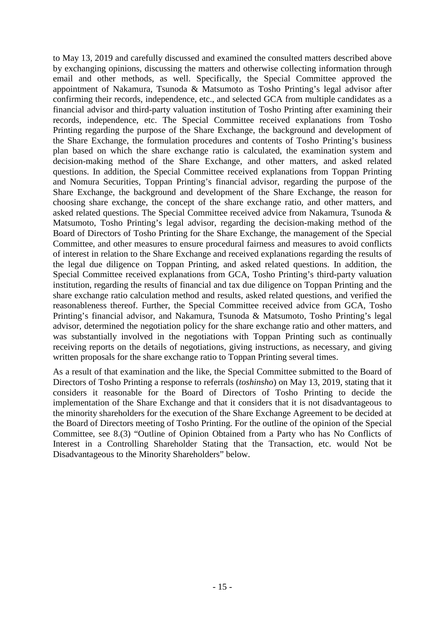to May 13, 2019 and carefully discussed and examined the consulted matters described above by exchanging opinions, discussing the matters and otherwise collecting information through email and other methods, as well. Specifically, the Special Committee approved the appointment of Nakamura, Tsunoda & Matsumoto as Tosho Printing's legal advisor after confirming their records, independence, etc., and selected GCA from multiple candidates as a financial advisor and third-party valuation institution of Tosho Printing after examining their records, independence, etc. The Special Committee received explanations from Tosho Printing regarding the purpose of the Share Exchange, the background and development of the Share Exchange, the formulation procedures and contents of Tosho Printing's business plan based on which the share exchange ratio is calculated, the examination system and decision-making method of the Share Exchange, and other matters, and asked related questions. In addition, the Special Committee received explanations from Toppan Printing and Nomura Securities, Toppan Printing's financial advisor, regarding the purpose of the Share Exchange, the background and development of the Share Exchange, the reason for choosing share exchange, the concept of the share exchange ratio, and other matters, and asked related questions. The Special Committee received advice from Nakamura, Tsunoda & Matsumoto, Tosho Printing's legal advisor, regarding the decision-making method of the Board of Directors of Tosho Printing for the Share Exchange, the management of the Special Committee, and other measures to ensure procedural fairness and measures to avoid conflicts of interest in relation to the Share Exchange and received explanations regarding the results of the legal due diligence on Toppan Printing, and asked related questions. In addition, the Special Committee received explanations from GCA, Tosho Printing's third-party valuation institution, regarding the results of financial and tax due diligence on Toppan Printing and the share exchange ratio calculation method and results, asked related questions, and verified the reasonableness thereof. Further, the Special Committee received advice from GCA, Tosho Printing's financial advisor, and Nakamura, Tsunoda & Matsumoto, Tosho Printing's legal advisor, determined the negotiation policy for the share exchange ratio and other matters, and was substantially involved in the negotiations with Toppan Printing such as continually receiving reports on the details of negotiations, giving instructions, as necessary, and giving written proposals for the share exchange ratio to Toppan Printing several times.

As a result of that examination and the like, the Special Committee submitted to the Board of Directors of Tosho Printing a response to referrals (*toshinsho*) on May 13, 2019, stating that it considers it reasonable for the Board of Directors of Tosho Printing to decide the implementation of the Share Exchange and that it considers that it is not disadvantageous to the minority shareholders for the execution of the Share Exchange Agreement to be decided at the Board of Directors meeting of Tosho Printing. For the outline of the opinion of the Special Committee, see 8.(3) "Outline of Opinion Obtained from a Party who has No Conflicts of Interest in a Controlling Shareholder Stating that the Transaction, etc. would Not be Disadvantageous to the Minority Shareholders" below.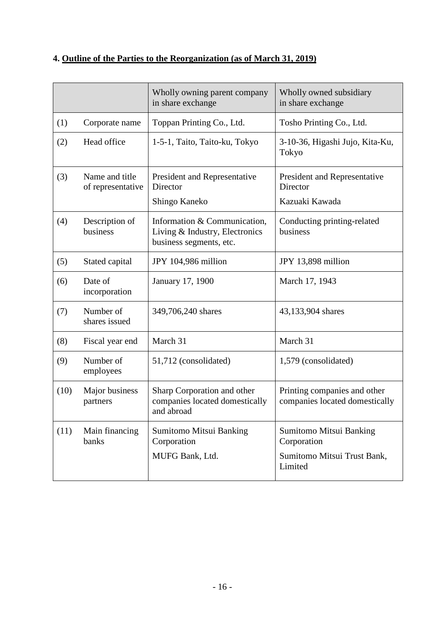# **4. Outline of the Parties to the Reorganization (as of March 31, 2019)**

|      |                                     | Wholly owning parent company<br>in share exchange                                         | Wholly owned subsidiary<br>in share exchange                                     |
|------|-------------------------------------|-------------------------------------------------------------------------------------------|----------------------------------------------------------------------------------|
| (1)  | Corporate name                      | Toppan Printing Co., Ltd.                                                                 | Tosho Printing Co., Ltd.                                                         |
| (2)  | Head office                         | 1-5-1, Taito, Taito-ku, Tokyo                                                             | 3-10-36, Higashi Jujo, Kita-Ku,<br>Tokyo                                         |
| (3)  | Name and title<br>of representative | President and Representative<br>Director                                                  | President and Representative<br>Director<br>Kazuaki Kawada                       |
|      |                                     | Shingo Kaneko                                                                             |                                                                                  |
| (4)  | Description of<br>business          | Information & Communication,<br>Living & Industry, Electronics<br>business segments, etc. | Conducting printing-related<br>business                                          |
| (5)  | Stated capital                      | JPY 104,986 million                                                                       | JPY 13,898 million                                                               |
| (6)  | Date of<br>incorporation            | January 17, 1900                                                                          | March 17, 1943                                                                   |
| (7)  | Number of<br>shares issued          | 349,706,240 shares                                                                        | 43,133,904 shares                                                                |
| (8)  | Fiscal year end                     | March 31                                                                                  | March 31                                                                         |
| (9)  | Number of<br>employees              | 51,712 (consolidated)                                                                     | 1,579 (consolidated)                                                             |
| (10) | Major business<br>partners          | Sharp Corporation and other<br>companies located domestically<br>and abroad               | Printing companies and other<br>companies located domestically                   |
| (11) | Main financing<br>banks             | Sumitomo Mitsui Banking<br>Corporation<br>MUFG Bank, Ltd.                                 | Sumitomo Mitsui Banking<br>Corporation<br>Sumitomo Mitsui Trust Bank,<br>Limited |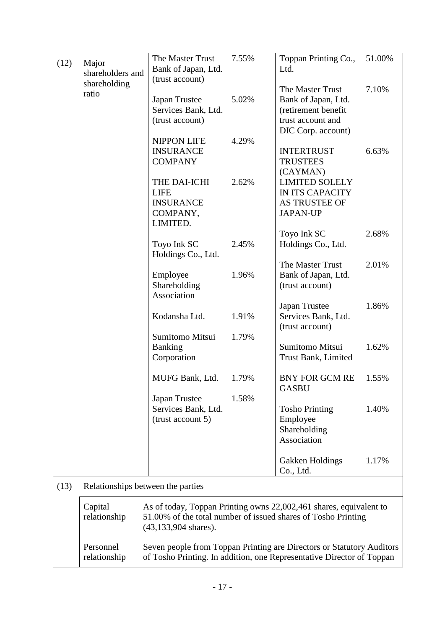| (12) | Major            | The Master Trust                                                      | 7.55% | Toppan Printing Co.,                   | 51.00% |  |
|------|------------------|-----------------------------------------------------------------------|-------|----------------------------------------|--------|--|
|      | shareholders and | Bank of Japan, Ltd.<br>(trust account)                                |       | Ltd.                                   |        |  |
|      | shareholding     |                                                                       |       | The Master Trust                       | 7.10%  |  |
|      | ratio            | Japan Trustee                                                         | 5.02% | Bank of Japan, Ltd.                    |        |  |
|      |                  | Services Bank, Ltd.                                                   |       | (retirement benefit                    |        |  |
|      |                  | (trust account)                                                       |       | trust account and                      |        |  |
|      |                  |                                                                       |       | DIC Corp. account)                     |        |  |
|      |                  | <b>NIPPON LIFE</b>                                                    | 4.29% |                                        |        |  |
|      |                  | <b>INSURANCE</b>                                                      |       | <b>INTERTRUST</b>                      | 6.63%  |  |
|      |                  | <b>COMPANY</b>                                                        |       | <b>TRUSTEES</b>                        |        |  |
|      |                  | THE DAI-ICHI                                                          | 2.62% | (CAYMAN)<br><b>LIMITED SOLELY</b>      |        |  |
|      |                  | <b>LIFE</b>                                                           |       | IN ITS CAPACITY                        |        |  |
|      |                  | <b>INSURANCE</b>                                                      |       | <b>AS TRUSTEE OF</b>                   |        |  |
|      |                  | COMPANY,                                                              |       | <b>JAPAN-UP</b>                        |        |  |
|      |                  | LIMITED.                                                              |       |                                        |        |  |
|      |                  |                                                                       |       | Toyo Ink SC                            | 2.68%  |  |
|      |                  | Toyo Ink SC                                                           | 2.45% | Holdings Co., Ltd.                     |        |  |
|      |                  | Holdings Co., Ltd.                                                    |       |                                        |        |  |
|      |                  |                                                                       |       | The Master Trust                       | 2.01%  |  |
|      |                  | Employee                                                              | 1.96% | Bank of Japan, Ltd.                    |        |  |
|      |                  | Shareholding                                                          |       | (trust account)                        |        |  |
|      |                  | Association                                                           |       |                                        |        |  |
|      |                  | Kodansha Ltd.                                                         | 1.91% | Japan Trustee                          | 1.86%  |  |
|      |                  |                                                                       |       | Services Bank, Ltd.<br>(trust account) |        |  |
|      |                  | Sumitomo Mitsui                                                       | 1.79% |                                        |        |  |
|      |                  | Banking                                                               |       | Sumitomo Mitsui                        | 1.62%  |  |
|      |                  | Corporation                                                           |       | Trust Bank, Limited                    |        |  |
|      |                  |                                                                       |       |                                        |        |  |
|      |                  | MUFG Bank, Ltd.                                                       | 1.79% | <b>BNY FOR GCM RE</b>                  | 1.55%  |  |
|      |                  |                                                                       |       | <b>GASBU</b>                           |        |  |
|      |                  | Japan Trustee                                                         | 1.58% |                                        |        |  |
|      |                  | Services Bank, Ltd.                                                   |       | <b>Tosho Printing</b>                  | 1.40%  |  |
|      |                  | (trust account 5)                                                     |       | Employee                               |        |  |
|      |                  |                                                                       |       | Shareholding<br>Association            |        |  |
|      |                  |                                                                       |       |                                        |        |  |
|      |                  |                                                                       |       | Gakken Holdings                        | 1.17%  |  |
|      |                  |                                                                       |       | Co., Ltd.                              |        |  |
| (13) |                  |                                                                       |       |                                        |        |  |
|      |                  | Relationships between the parties                                     |       |                                        |        |  |
|      | Capital          | As of today, Toppan Printing owns 22,002,461 shares, equivalent to    |       |                                        |        |  |
|      | relationship     | 51.00% of the total number of issued shares of Tosho Printing         |       |                                        |        |  |
|      |                  | $(43, 133, 904$ shares).                                              |       |                                        |        |  |
|      |                  |                                                                       |       |                                        |        |  |
|      | Personnel        | Seven people from Toppan Printing are Directors or Statutory Auditors |       |                                        |        |  |
|      | relationship     | of Tosho Printing. In addition, one Representative Director of Toppan |       |                                        |        |  |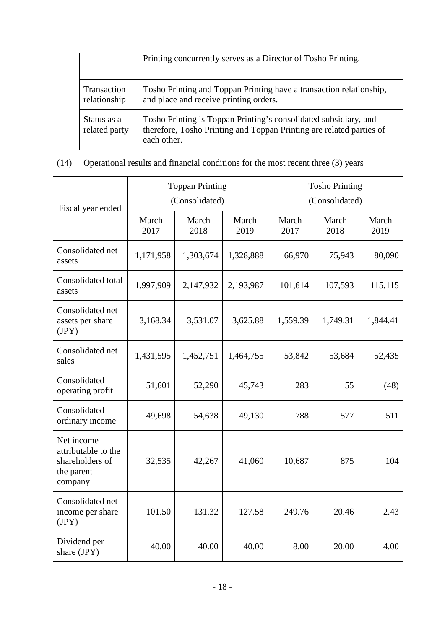|                              | Printing concurrently serves as a Director of Tosho Printing.                                                                                           |
|------------------------------|---------------------------------------------------------------------------------------------------------------------------------------------------------|
| Transaction<br>relationship  | Tosho Printing and Toppan Printing have a transaction relationship,<br>and place and receive printing orders.                                           |
| Status as a<br>related party | Tosho Printing is Toppan Printing's consolidated subsidiary, and<br>therefore, Tosho Printing and Toppan Printing are related parties of<br>each other. |

| (14)<br>Operational results and imalitial conditions for the most recent time (3) years |                                          |               |               |                                         |               |               |
|-----------------------------------------------------------------------------------------|------------------------------------------|---------------|---------------|-----------------------------------------|---------------|---------------|
| Fiscal year ended                                                                       | <b>Toppan Printing</b><br>(Consolidated) |               |               | <b>Tosho Printing</b><br>(Consolidated) |               |               |
|                                                                                         | March<br>2017                            | March<br>2018 | March<br>2019 | March<br>2017                           | March<br>2018 | March<br>2019 |
| Consolidated net<br>assets                                                              | 1,171,958                                | 1,303,674     | 1,328,888     | 66,970                                  | 75,943        | 80,090        |
| Consolidated total<br>assets                                                            | 1,997,909                                | 2,147,932     | 2,193,987     | 101,614                                 | 107,593       | 115,115       |
| Consolidated net<br>assets per share<br>(JPY)                                           | 3,168.34                                 | 3,531.07      | 3,625.88      | 1,559.39                                | 1,749.31      | 1,844.41      |
| Consolidated net<br>sales                                                               | 1,431,595                                | 1,452,751     | 1,464,755     | 53,842                                  | 53,684        | 52,435        |
| Consolidated<br>operating profit                                                        | 51,601                                   | 52,290        | 45,743        | 283                                     | 55            | (48)          |
| Consolidated<br>ordinary income                                                         | 49,698                                   | 54,638        | 49,130        | 788                                     | 577           | 511           |
| Net income<br>attributable to the<br>shareholders of<br>the parent<br>company           | 32,535                                   | 42,267        | 41,060        | 10,687                                  | 875           | 104           |
| Consolidated net<br>income per share<br>(JPY)                                           | 101.50                                   | 131.32        | 127.58        | 249.76                                  | 20.46         | 2.43          |
| Dividend per<br>share (JPY)                                                             | 40.00                                    | 40.00         | 40.00         | 8.00                                    | 20.00         | 4.00          |

(14) Operational results and financial conditions for the most recent three (3) years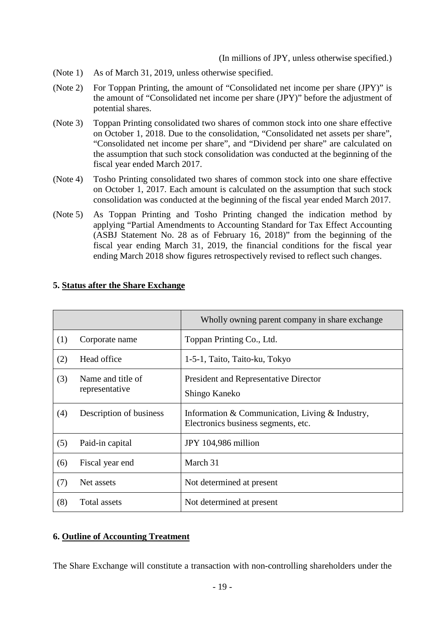(In millions of JPY, unless otherwise specified.)

- (Note 1) As of March 31, 2019, unless otherwise specified.
- (Note 2) For Toppan Printing, the amount of "Consolidated net income per share (JPY)" is the amount of "Consolidated net income per share (JPY)" before the adjustment of potential shares.
- (Note 3) Toppan Printing consolidated two shares of common stock into one share effective on October 1, 2018. Due to the consolidation, "Consolidated net assets per share", "Consolidated net income per share", and "Dividend per share" are calculated on the assumption that such stock consolidation was conducted at the beginning of the fiscal year ended March 2017.
- (Note 4) Tosho Printing consolidated two shares of common stock into one share effective on October 1, 2017. Each amount is calculated on the assumption that such stock consolidation was conducted at the beginning of the fiscal year ended March 2017.
- (Note 5) As Toppan Printing and Tosho Printing changed the indication method by applying "Partial Amendments to Accounting Standard for Tax Effect Accounting (ASBJ Statement No. 28 as of February 16, 2018)" from the beginning of the fiscal year ending March 31, 2019, the financial conditions for the fiscal year ending March 2018 show figures retrospectively revised to reflect such changes.

|     |                                     | Wholly owning parent company in share exchange                                           |
|-----|-------------------------------------|------------------------------------------------------------------------------------------|
| (1) | Corporate name                      | Toppan Printing Co., Ltd.                                                                |
| (2) | Head office                         | 1-5-1, Taito, Taito-ku, Tokyo                                                            |
| (3) | Name and title of<br>representative | <b>President and Representative Director</b><br>Shingo Kaneko                            |
| (4) | Description of business             | Information & Communication, Living $&$ Industry,<br>Electronics business segments, etc. |
| (5) | Paid-in capital                     | JPY 104,986 million                                                                      |
| (6) | Fiscal year end                     | March 31                                                                                 |
| (7) | Net assets                          | Not determined at present                                                                |
| (8) | Total assets                        | Not determined at present                                                                |

### **5. Status after the Share Exchange**

#### **6. Outline of Accounting Treatment**

The Share Exchange will constitute a transaction with non-controlling shareholders under the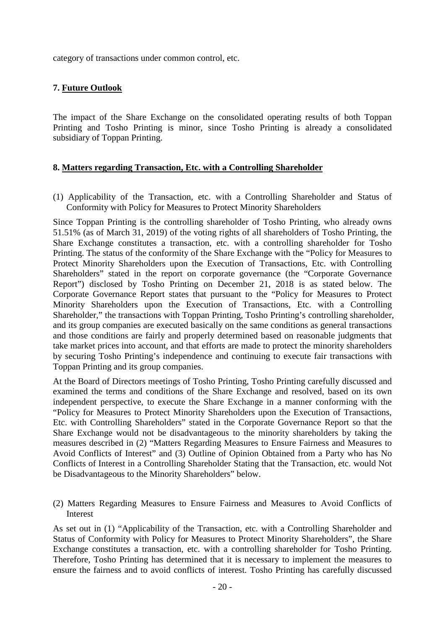category of transactions under common control, etc.

#### **7. Future Outlook**

The impact of the Share Exchange on the consolidated operating results of both Toppan Printing and Tosho Printing is minor, since Tosho Printing is already a consolidated subsidiary of Toppan Printing.

#### **8. Matters regarding Transaction, Etc. with a Controlling Shareholder**

(1) Applicability of the Transaction, etc. with a Controlling Shareholder and Status of Conformity with Policy for Measures to Protect Minority Shareholders

Since Toppan Printing is the controlling shareholder of Tosho Printing, who already owns 51.51% (as of March 31, 2019) of the voting rights of all shareholders of Tosho Printing, the Share Exchange constitutes a transaction, etc. with a controlling shareholder for Tosho Printing. The status of the conformity of the Share Exchange with the "Policy for Measures to Protect Minority Shareholders upon the Execution of Transactions, Etc. with Controlling Shareholders" stated in the report on corporate governance (the "Corporate Governance Report") disclosed by Tosho Printing on December 21, 2018 is as stated below. The Corporate Governance Report states that pursuant to the "Policy for Measures to Protect Minority Shareholders upon the Execution of Transactions, Etc. with a Controlling Shareholder," the transactions with Toppan Printing, Tosho Printing's controlling shareholder, and its group companies are executed basically on the same conditions as general transactions and those conditions are fairly and properly determined based on reasonable judgments that take market prices into account, and that efforts are made to protect the minority shareholders by securing Tosho Printing's independence and continuing to execute fair transactions with Toppan Printing and its group companies.

At the Board of Directors meetings of Tosho Printing, Tosho Printing carefully discussed and examined the terms and conditions of the Share Exchange and resolved, based on its own independent perspective, to execute the Share Exchange in a manner conforming with the "Policy for Measures to Protect Minority Shareholders upon the Execution of Transactions, Etc. with Controlling Shareholders" stated in the Corporate Governance Report so that the Share Exchange would not be disadvantageous to the minority shareholders by taking the measures described in (2) "Matters Regarding Measures to Ensure Fairness and Measures to Avoid Conflicts of Interest" and (3) Outline of Opinion Obtained from a Party who has No Conflicts of Interest in a Controlling Shareholder Stating that the Transaction, etc. would Not be Disadvantageous to the Minority Shareholders" below.

(2) Matters Regarding Measures to Ensure Fairness and Measures to Avoid Conflicts of Interest

As set out in (1) "Applicability of the Transaction, etc. with a Controlling Shareholder and Status of Conformity with Policy for Measures to Protect Minority Shareholders", the Share Exchange constitutes a transaction, etc. with a controlling shareholder for Tosho Printing. Therefore, Tosho Printing has determined that it is necessary to implement the measures to ensure the fairness and to avoid conflicts of interest. Tosho Printing has carefully discussed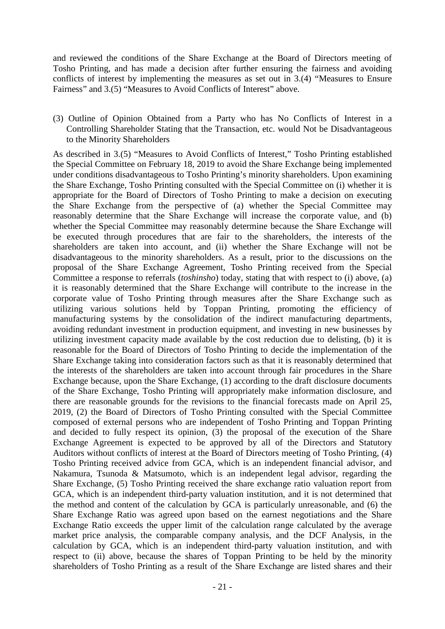and reviewed the conditions of the Share Exchange at the Board of Directors meeting of Tosho Printing, and has made a decision after further ensuring the fairness and avoiding conflicts of interest by implementing the measures as set out in 3.(4) "Measures to Ensure Fairness" and 3.(5) "Measures to Avoid Conflicts of Interest" above.

(3) Outline of Opinion Obtained from a Party who has No Conflicts of Interest in a Controlling Shareholder Stating that the Transaction, etc. would Not be Disadvantageous to the Minority Shareholders

As described in 3.(5) "Measures to Avoid Conflicts of Interest," Tosho Printing established the Special Committee on February 18, 2019 to avoid the Share Exchange being implemented under conditions disadvantageous to Tosho Printing's minority shareholders. Upon examining the Share Exchange, Tosho Printing consulted with the Special Committee on (i) whether it is appropriate for the Board of Directors of Tosho Printing to make a decision on executing the Share Exchange from the perspective of (a) whether the Special Committee may reasonably determine that the Share Exchange will increase the corporate value, and (b) whether the Special Committee may reasonably determine because the Share Exchange will be executed through procedures that are fair to the shareholders, the interests of the shareholders are taken into account, and (ii) whether the Share Exchange will not be disadvantageous to the minority shareholders. As a result, prior to the discussions on the proposal of the Share Exchange Agreement, Tosho Printing received from the Special Committee a response to referrals (*toshinsho*) today, stating that with respect to (i) above, (a) it is reasonably determined that the Share Exchange will contribute to the increase in the corporate value of Tosho Printing through measures after the Share Exchange such as utilizing various solutions held by Toppan Printing, promoting the efficiency of manufacturing systems by the consolidation of the indirect manufacturing departments, avoiding redundant investment in production equipment, and investing in new businesses by utilizing investment capacity made available by the cost reduction due to delisting, (b) it is reasonable for the Board of Directors of Tosho Printing to decide the implementation of the Share Exchange taking into consideration factors such as that it is reasonably determined that the interests of the shareholders are taken into account through fair procedures in the Share Exchange because, upon the Share Exchange, (1) according to the draft disclosure documents of the Share Exchange, Tosho Printing will appropriately make information disclosure, and there are reasonable grounds for the revisions to the financial forecasts made on April 25, 2019, (2) the Board of Directors of Tosho Printing consulted with the Special Committee composed of external persons who are independent of Tosho Printing and Toppan Printing and decided to fully respect its opinion, (3) the proposal of the execution of the Share Exchange Agreement is expected to be approved by all of the Directors and Statutory Auditors without conflicts of interest at the Board of Directors meeting of Tosho Printing, (4) Tosho Printing received advice from GCA, which is an independent financial advisor, and Nakamura, Tsunoda & Matsumoto, which is an independent legal advisor, regarding the Share Exchange, (5) Tosho Printing received the share exchange ratio valuation report from GCA, which is an independent third-party valuation institution, and it is not determined that the method and content of the calculation by GCA is particularly unreasonable, and (6) the Share Exchange Ratio was agreed upon based on the earnest negotiations and the Share Exchange Ratio exceeds the upper limit of the calculation range calculated by the average market price analysis, the comparable company analysis, and the DCF Analysis, in the calculation by GCA, which is an independent third-party valuation institution, and with respect to (ii) above, because the shares of Toppan Printing to be held by the minority shareholders of Tosho Printing as a result of the Share Exchange are listed shares and their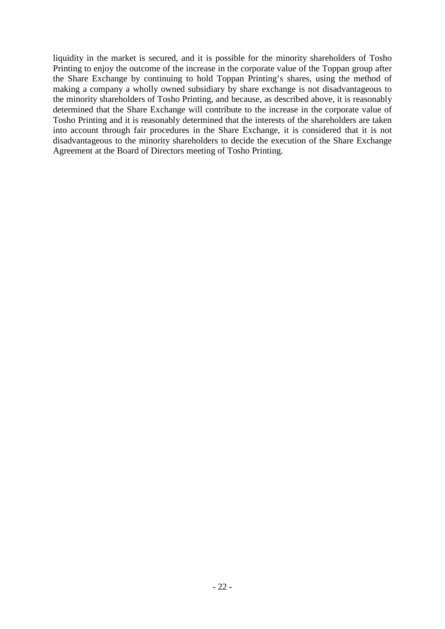liquidity in the market is secured, and it is possible for the minority shareholders of Tosho Printing to enjoy the outcome of the increase in the corporate value of the Toppan group after the Share Exchange by continuing to hold Toppan Printing's shares, using the method of making a company a wholly owned subsidiary by share exchange is not disadvantageous to the minority shareholders of Tosho Printing, and because, as described above, it is reasonably determined that the Share Exchange will contribute to the increase in the corporate value of Tosho Printing and it is reasonably determined that the interests of the shareholders are taken into account through fair procedures in the Share Exchange, it is considered that it is not disadvantageous to the minority shareholders to decide the execution of the Share Exchange Agreement at the Board of Directors meeting of Tosho Printing.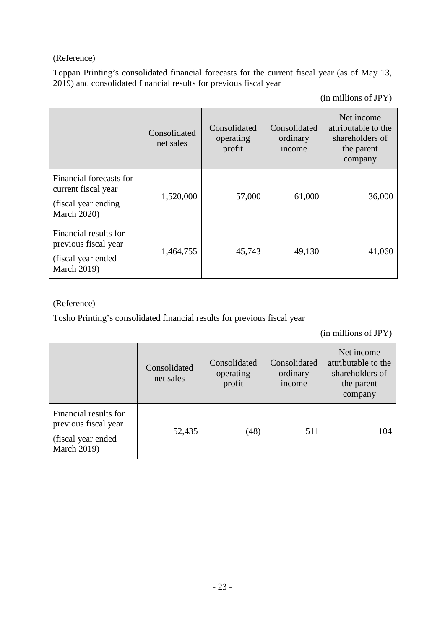# (Reference)

Toppan Printing's consolidated financial forecasts for the current fiscal year (as of May 13, 2019) and consolidated financial results for previous fiscal year

(in millions of JPY)

|                                                                                              | Consolidated<br>net sales | Consolidated<br>operating<br>profit | Consolidated<br>ordinary<br>income | Net income<br>attributable to the<br>shareholders of<br>the parent<br>company |
|----------------------------------------------------------------------------------------------|---------------------------|-------------------------------------|------------------------------------|-------------------------------------------------------------------------------|
| Financial forecasts for<br>current fiscal year<br>(fiscal year ending)<br><b>March 2020)</b> | 1,520,000                 | 57,000                              | 61,000                             | 36,000                                                                        |
| Financial results for<br>previous fiscal year<br>(fiscal year ended)<br><b>March 2019)</b>   | 1,464,755                 | 45,743                              | 49,130                             | 41,060                                                                        |

# (Reference)

Tosho Printing's consolidated financial results for previous fiscal year

(in millions of JPY)

|                                                                                            | Consolidated<br>net sales | Consolidated<br>operating<br>profit | Consolidated<br>ordinary<br>income | Net income<br>attributable to the<br>shareholders of<br>the parent<br>company |
|--------------------------------------------------------------------------------------------|---------------------------|-------------------------------------|------------------------------------|-------------------------------------------------------------------------------|
| Financial results for<br>previous fiscal year<br>(fiscal year ended)<br><b>March 2019)</b> | 52,435                    | (48)                                | 511                                | 104                                                                           |